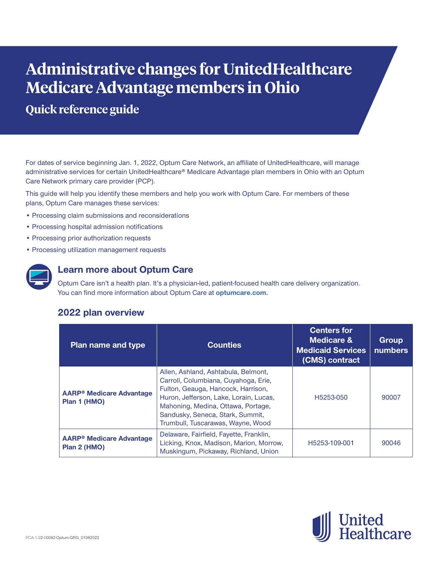# **Administrative changes for UnitedHealthcare Medicare Advantage members in Ohio**

**Quick reference guide**

For dates of service beginning Jan. 1, 2022, Optum Care Network, an affiliate of UnitedHealthcare, will manage administrative services for certain UnitedHealthcare® Medicare Advantage plan members in Ohio with an Optum Care Network primary care provider (PCP).

This guide will help you identify these members and help you work with Optum Care. For members of these plans, Optum Care manages these services:

- **•** Processing claim submissions and reconsiderations
- **•** Processing hospital admission notifications
- **•** Processing prior authorization requests
- **•** Processing utilization management requests



## **Learn more about Optum Care**

Optum Care isn't a health plan. It's a physician-led, patient-focused health care delivery organization. You can find more information about Optum Care at **[optumcare.com](http://www.optumcare.com).**

## **2022 plan overview**

| <b>Plan name and type</b>                                  | <b>Counties</b>                                                                                                                                                                                                                                                            | <b>Centers for</b><br><b>Medicare &amp;</b><br><b>Medicaid Services</b><br>(CMS) contract | <b>Group</b><br><b>numbers</b> |
|------------------------------------------------------------|----------------------------------------------------------------------------------------------------------------------------------------------------------------------------------------------------------------------------------------------------------------------------|-------------------------------------------------------------------------------------------|--------------------------------|
| <b>AARP<sup>®</sup> Medicare Advantage</b><br>Plan 1 (HMO) | Allen, Ashland, Ashtabula, Belmont,<br>Carroll, Columbiana, Cuyahoga, Erie,<br>Fulton, Geauga, Hancock, Harrison,<br>Huron, Jefferson, Lake, Lorain, Lucas,<br>Mahoning, Medina, Ottawa, Portage,<br>Sandusky, Seneca, Stark, Summit,<br>Trumbull, Tuscarawas, Wayne, Wood | H5253-050                                                                                 | 90007                          |
| <b>AARP<sup>®</sup> Medicare Advantage</b><br>Plan 2 (HMO) | Delaware, Fairfield, Fayette, Franklin,<br>Licking, Knox, Madison, Marion, Morrow,<br>Muskingum, Pickaway, Richland, Union                                                                                                                                                 | H5253-109-001                                                                             | 90046                          |

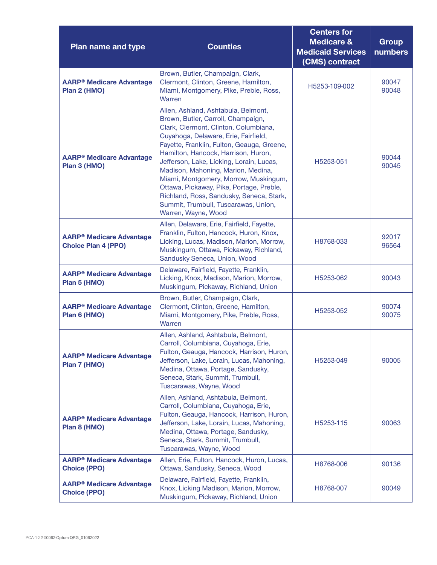| Plan name and type                                            | <b>Counties</b>                                                                                                                                                                                                                                                                                                                                                                                                                                                                                                                   | <b>Centers for</b><br><b>Medicare &amp;</b><br><b>Medicaid Services</b><br>(CMS) contract | <b>Group</b><br><b>numbers</b> |
|---------------------------------------------------------------|-----------------------------------------------------------------------------------------------------------------------------------------------------------------------------------------------------------------------------------------------------------------------------------------------------------------------------------------------------------------------------------------------------------------------------------------------------------------------------------------------------------------------------------|-------------------------------------------------------------------------------------------|--------------------------------|
| <b>AARP® Medicare Advantage</b><br>Plan 2 (HMO)               | Brown, Butler, Champaign, Clark,<br>Clermont, Clinton, Greene, Hamilton,<br>Miami, Montgomery, Pike, Preble, Ross,<br>Warren                                                                                                                                                                                                                                                                                                                                                                                                      | H5253-109-002                                                                             | 90047<br>90048                 |
| <b>AARP<sup>®</sup> Medicare Advantage</b><br>Plan 3 (HMO)    | Allen, Ashland, Ashtabula, Belmont,<br>Brown, Butler, Carroll, Champaign,<br>Clark, Clermont, Clinton, Columbiana,<br>Cuyahoga, Delaware, Erie, Fairfield,<br>Fayette, Franklin, Fulton, Geauga, Greene,<br>Hamilton, Hancock, Harrison, Huron,<br>Jefferson, Lake, Licking, Lorain, Lucas,<br>Madison, Mahoning, Marion, Medina,<br>Miami, Montgomery, Morrow, Muskingum,<br>Ottawa, Pickaway, Pike, Portage, Preble,<br>Richland, Ross, Sandusky, Seneca, Stark,<br>Summit, Trumbull, Tuscarawas, Union,<br>Warren, Wayne, Wood | H5253-051                                                                                 | 90044<br>90045                 |
| <b>AARP® Medicare Advantage</b><br><b>Choice Plan 4 (PPO)</b> | Allen, Delaware, Erie, Fairfield, Fayette,<br>Franklin, Fulton, Hancock, Huron, Knox,<br>Licking, Lucas, Madison, Marion, Morrow,<br>Muskingum, Ottawa, Pickaway, Richland,<br>Sandusky Seneca, Union, Wood                                                                                                                                                                                                                                                                                                                       | H8768-033                                                                                 | 92017<br>96564                 |
| <b>AARP® Medicare Advantage</b><br>Plan 5 (HMO)               | Delaware, Fairfield, Fayette, Franklin,<br>Licking, Knox, Madison, Marion, Morrow,<br>Muskingum, Pickaway, Richland, Union                                                                                                                                                                                                                                                                                                                                                                                                        | H5253-062                                                                                 | 90043                          |
| <b>AARP® Medicare Advantage</b><br>Plan 6 (HMO)               | Brown, Butler, Champaign, Clark,<br>Clermont, Clinton, Greene, Hamilton,<br>Miami, Montgomery, Pike, Preble, Ross,<br>Warren                                                                                                                                                                                                                                                                                                                                                                                                      | H5253-052                                                                                 | 90074<br>90075                 |
| <b>AARP® Medicare Advantage</b><br>Plan 7 (HMO)               | Allen, Ashland, Ashtabula, Belmont,<br>Carroll, Columbiana, Cuyahoga, Erie,<br>Fulton, Geauga, Hancock, Harrison, Huron,<br>Jefferson, Lake, Lorain, Lucas, Mahoning,<br>Medina, Ottawa, Portage, Sandusky,<br>Seneca, Stark, Summit, Trumbull,<br>Tuscarawas, Wayne, Wood                                                                                                                                                                                                                                                        | H5253-049                                                                                 | 90005                          |
| <b>AARP® Medicare Advantage</b><br>Plan 8 (HMO)               | Allen, Ashland, Ashtabula, Belmont,<br>Carroll, Columbiana, Cuyahoga, Erie,<br>Fulton, Geauga, Hancock, Harrison, Huron,<br>Jefferson, Lake, Lorain, Lucas, Mahoning,<br>Medina, Ottawa, Portage, Sandusky,<br>Seneca, Stark, Summit, Trumbull,<br>Tuscarawas, Wayne, Wood                                                                                                                                                                                                                                                        | H5253-115                                                                                 | 90063                          |
| <b>AARP® Medicare Advantage</b><br><b>Choice (PPO)</b>        | Allen, Erie, Fulton, Hancock, Huron, Lucas,<br>Ottawa, Sandusky, Seneca, Wood                                                                                                                                                                                                                                                                                                                                                                                                                                                     | H8768-006                                                                                 | 90136                          |
| <b>AARP® Medicare Advantage</b><br><b>Choice (PPO)</b>        | Delaware, Fairfield, Fayette, Franklin,<br>Knox, Licking Madison, Marion, Morrow,<br>Muskingum, Pickaway, Richland, Union                                                                                                                                                                                                                                                                                                                                                                                                         | H8768-007                                                                                 | 90049                          |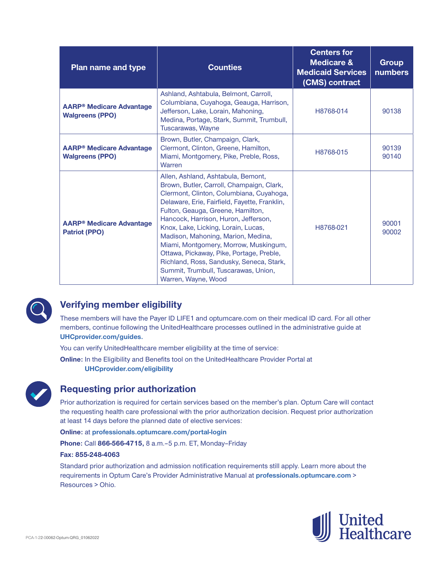| <b>Plan name and type</b>                                            | <b>Counties</b>                                                                                                                                                                                                                                                                                                                                                                                                                                                                                                                        | <b>Centers for</b><br><b>Medicare &amp;</b><br><b>Medicaid Services</b><br>(CMS) contract | <b>Group</b><br>numbers |
|----------------------------------------------------------------------|----------------------------------------------------------------------------------------------------------------------------------------------------------------------------------------------------------------------------------------------------------------------------------------------------------------------------------------------------------------------------------------------------------------------------------------------------------------------------------------------------------------------------------------|-------------------------------------------------------------------------------------------|-------------------------|
| <b>AARP<sup>®</sup> Medicare Advantage</b><br><b>Walgreens (PPO)</b> | Ashland, Ashtabula, Belmont, Carroll,<br>Columbiana, Cuyahoga, Geauga, Harrison,<br>Jefferson, Lake, Lorain, Mahoning,<br>Medina, Portage, Stark, Summit, Trumbull,<br>Tuscarawas, Wayne                                                                                                                                                                                                                                                                                                                                               | H8768-014                                                                                 | 90138                   |
| <b>AARP<sup>®</sup> Medicare Advantage</b><br><b>Walgreens (PPO)</b> | Brown, Butler, Champaign, Clark,<br>Clermont, Clinton, Greene, Hamilton,<br>Miami, Montgomery, Pike, Preble, Ross,<br>Warren                                                                                                                                                                                                                                                                                                                                                                                                           | H8768-015                                                                                 | 90139<br>90140          |
| <b>AARP<sup>®</sup> Medicare Advantage</b><br><b>Patriot (PPO)</b>   | Allen, Ashland, Ashtabula, Bemont,<br>Brown, Butler, Carroll, Champaign, Clark,<br>Clermont, Clinton, Columbiana, Cuyahoga,<br>Delaware, Erie, Fairfield, Fayette, Franklin,<br>Fulton, Geauga, Greene, Hamilton,<br>Hancock, Harrison, Huron, Jefferson,<br>Knox, Lake, Licking, Lorain, Lucas,<br>Madison, Mahoning, Marion, Medina,<br>Miami, Montgomery, Morrow, Muskingum,<br>Ottawa, Pickaway, Pike, Portage, Preble,<br>Richland, Ross, Sandusky, Seneca, Stark,<br>Summit, Trumbull, Tuscarawas, Union,<br>Warren, Wayne, Wood | H8768-021                                                                                 | 90001<br>90002          |



# **Verifying member eligibility**

These members will have the Payer ID LIFE1 and optumcare.com on their medical ID card. For all other members, continue following the UnitedHealthcare processes outlined in the administrative guide at **[UHCprovider.com/guides.](http://uhcprovider.com/guides)**

You can verify UnitedHealthcare member eligibility at the time of service:

**Online:** In the Eligibility and Benefits tool on the UnitedHealthcare Provider Portal at **[UHCprovider.com/eligibility](http://uhcprovider.com/eligibility)**



# **Requesting prior authorization**

Prior authorization is required for certain services based on the member's plan. Optum Care will contact the requesting health care professional with the prior authorization decision. Request prior authorization at least 14 days before the planned date of elective services:

**Online:** at **[professionals.optumcare.com/portal-login](http://professionals.optumcare.com/portal-login)**

**Phone:** Call **866-566-4715,** 8 a.m.–5 p.m. ET, Monday–Friday

#### **Fax: 855-248-4063**

Standard prior authorization and admission notification requirements still apply. Learn more about the requirements in Optum Care's Provider Administrative Manual at **[professionals.optumcare.com](http://professionals.optumcare.com)** > Resources > Ohio.